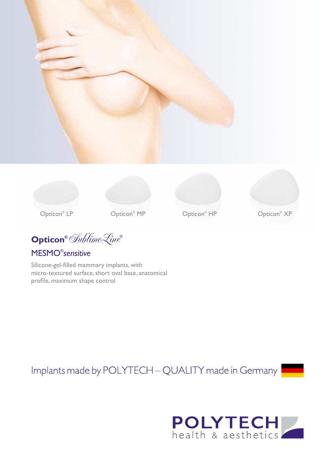



Opticon<sup>®</sup> MP





**Opticon®** SublimeLine**®**

## MESMO® *sensitive*

Silicone-gel-filled mammary implants, with micro-textured surface, short oval base, anatomical profile, maximum shape control

Implants made by POLYTECH - QUALITY made in Germany